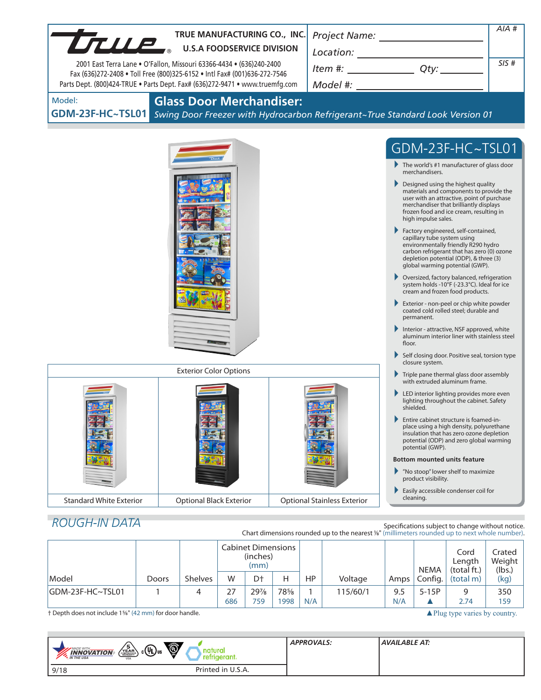| TRUE MANUFACTURING CO., INC.                                                                                                                                                                                                                                                                                                                                                                                                                                                                                                              |       |                                 |   |                                               |   |                                                   |                                                                                                                                                                                                    |                                                                                                                                                                                                                                                               |                                                                                                      |                                                  | AIA #                      |  |
|-------------------------------------------------------------------------------------------------------------------------------------------------------------------------------------------------------------------------------------------------------------------------------------------------------------------------------------------------------------------------------------------------------------------------------------------------------------------------------------------------------------------------------------------|-------|---------------------------------|---|-----------------------------------------------|---|---------------------------------------------------|----------------------------------------------------------------------------------------------------------------------------------------------------------------------------------------------------|---------------------------------------------------------------------------------------------------------------------------------------------------------------------------------------------------------------------------------------------------------------|------------------------------------------------------------------------------------------------------|--------------------------------------------------|----------------------------|--|
| TRUE MANUFACTURING CO., IN                                                                                                                                                                                                                                                                                                                                                                                                                                                                                                                |       |                                 |   |                                               |   |                                                   |                                                                                                                                                                                                    |                                                                                                                                                                                                                                                               |                                                                                                      |                                                  |                            |  |
| Item #: $Qty:$ $Qty:$ $Qty:$ $Qty:$ $Qty:$ $Qty:$ $Qty:$ $Qty:$ $Qty:$ $Qty:$ $Qty:$ $Qty:$ $Qty:$ $Qty:$ $Qty:$ $Qty:$ $Qty:$ $Qty:$ $Qty:$ $Qty:$ $Qty:$ $Qty:$ $Qty:$ $Qty:$ $Qty:$ $Qty:$ $Qty:$ $Qty:$ $Qty:$ $Qty:$ $Qty:$ $Qty:$ $Qty:$ $Qty:$ $Qty:$ $Qty$<br>2001 East Terra Lane . O'Fallon, Missouri 63366-4434 . (636)240-2400<br>Fax (636)272-2408 . Toll Free (800)325-6152 . Intl Fax# (001)636-272-7546<br>Model #: _____________________<br>Parts Dept. (800)424-TRUE . Parts Dept. Fax# (636)272-9471 . www.truemfg.com |       |                                 |   |                                               |   |                                                   |                                                                                                                                                                                                    |                                                                                                                                                                                                                                                               |                                                                                                      | SIS#                                             |                            |  |
|                                                                                                                                                                                                                                                                                                                                                                                                                                                                                                                                           |       |                                 |   |                                               |   |                                                   |                                                                                                                                                                                                    |                                                                                                                                                                                                                                                               |                                                                                                      |                                                  |                            |  |
| Model:<br>GDM-23F-HC~TSL01 Swing Door Freezer with Hydrocarbon Refrigerant~True Standard Look Version 01                                                                                                                                                                                                                                                                                                                                                                                                                                  |       | <b>Glass Door Merchandiser:</b> |   |                                               |   |                                                   |                                                                                                                                                                                                    |                                                                                                                                                                                                                                                               |                                                                                                      |                                                  |                            |  |
|                                                                                                                                                                                                                                                                                                                                                                                                                                                                                                                                           |       |                                 |   |                                               |   |                                                   |                                                                                                                                                                                                    |                                                                                                                                                                                                                                                               |                                                                                                      | GDM-23F-HC~TSL01                                 |                            |  |
|                                                                                                                                                                                                                                                                                                                                                                                                                                                                                                                                           |       |                                 |   |                                               |   |                                                   |                                                                                                                                                                                                    |                                                                                                                                                                                                                                                               |                                                                                                      |                                                  |                            |  |
|                                                                                                                                                                                                                                                                                                                                                                                                                                                                                                                                           |       |                                 |   |                                               |   |                                                   |                                                                                                                                                                                                    | $\blacktriangleright$ The world's #1 manufacturer of glass door<br>merchandisers.                                                                                                                                                                             |                                                                                                      |                                                  |                            |  |
|                                                                                                                                                                                                                                                                                                                                                                                                                                                                                                                                           |       |                                 |   |                                               |   |                                                   |                                                                                                                                                                                                    | $\blacktriangleright$ Designed using the highest quality<br>materials and components to provide the<br>user with an attractive, point of purchase<br>merchandiser that brilliantly displays<br>frozen food and ice cream, resulting in<br>high impulse sales. |                                                                                                      |                                                  |                            |  |
|                                                                                                                                                                                                                                                                                                                                                                                                                                                                                                                                           |       |                                 |   |                                               |   |                                                   |                                                                                                                                                                                                    | Factory engineered, self-contained,<br>capillary tube system using<br>environmentally friendly R290 hydro<br>carbon refrigerant that has zero (0) ozone<br>depletion potential (ODP), & three (3)<br>global warming potential (GWP).                          |                                                                                                      |                                                  |                            |  |
|                                                                                                                                                                                                                                                                                                                                                                                                                                                                                                                                           |       |                                 |   |                                               |   |                                                   |                                                                                                                                                                                                    | Oversized, factory balanced, refrigeration<br>system holds -10°F (-23.3°C). Ideal for ice<br>cream and frozen food products.                                                                                                                                  |                                                                                                      |                                                  |                            |  |
|                                                                                                                                                                                                                                                                                                                                                                                                                                                                                                                                           |       |                                 |   |                                               |   |                                                   |                                                                                                                                                                                                    | Exterior - non-peel or chip white powder<br>coated cold rolled steel; durable and<br>permanent.                                                                                                                                                               |                                                                                                      |                                                  |                            |  |
|                                                                                                                                                                                                                                                                                                                                                                                                                                                                                                                                           |       |                                 |   |                                               |   |                                                   |                                                                                                                                                                                                    |                                                                                                                                                                                                                                                               | Interior - attractive, NSF approved, white<br>aluminum interior liner with stainless steel<br>floor. |                                                  |                            |  |
|                                                                                                                                                                                                                                                                                                                                                                                                                                                                                                                                           |       |                                 |   |                                               |   |                                                   |                                                                                                                                                                                                    |                                                                                                                                                                                                                                                               | Self closing door. Positive seal, torsion type<br>closure system.                                    |                                                  |                            |  |
| <b>Exterior Color Options</b>                                                                                                                                                                                                                                                                                                                                                                                                                                                                                                             |       |                                 |   |                                               |   |                                                   |                                                                                                                                                                                                    |                                                                                                                                                                                                                                                               | $\blacktriangleright$ Triple pane thermal glass door assembly<br>with extruded aluminum frame.       |                                                  |                            |  |
|                                                                                                                                                                                                                                                                                                                                                                                                                                                                                                                                           |       |                                 |   |                                               |   |                                                   | LED interior lighting provides more even<br>lighting throughout the cabinet. Safety<br>shielded.                                                                                                   |                                                                                                                                                                                                                                                               |                                                                                                      |                                                  |                            |  |
|                                                                                                                                                                                                                                                                                                                                                                                                                                                                                                                                           |       |                                 |   |                                               |   |                                                   | Entire cabinet structure is foamed-in-<br>▶<br>place using a high density, polyurethane<br>insulation that has zero ozone depletion<br>potential (ODP) and zero global warming<br>potential (GWP). |                                                                                                                                                                                                                                                               |                                                                                                      |                                                  |                            |  |
|                                                                                                                                                                                                                                                                                                                                                                                                                                                                                                                                           |       |                                 |   |                                               |   |                                                   |                                                                                                                                                                                                    | <b>Bottom mounted units feature</b>                                                                                                                                                                                                                           |                                                                                                      |                                                  |                            |  |
|                                                                                                                                                                                                                                                                                                                                                                                                                                                                                                                                           |       |                                 |   |                                               |   |                                                   |                                                                                                                                                                                                    |                                                                                                                                                                                                                                                               | product visibility.                                                                                  | "No stoop" lower shelf to maximize               |                            |  |
| <b>Standard White Exterior</b><br><b>Optional Black Exterior</b><br><b>Optional Stainless Exterior</b>                                                                                                                                                                                                                                                                                                                                                                                                                                    |       |                                 |   |                                               |   | Easily accessible condenser coil for<br>cleaning. |                                                                                                                                                                                                    |                                                                                                                                                                                                                                                               |                                                                                                      |                                                  |                            |  |
|                                                                                                                                                                                                                                                                                                                                                                                                                                                                                                                                           |       |                                 |   |                                               |   |                                                   |                                                                                                                                                                                                    |                                                                                                                                                                                                                                                               |                                                                                                      |                                                  |                            |  |
| <b>ROUGH-IN DATA</b>                                                                                                                                                                                                                                                                                                                                                                                                                                                                                                                      |       |                                 |   |                                               |   |                                                   | Chart dimensions rounded up to the nearest 1/8" (millimeters rounded up to next whole number).                                                                                                     |                                                                                                                                                                                                                                                               |                                                                                                      | Specifications subject to change without notice. |                            |  |
|                                                                                                                                                                                                                                                                                                                                                                                                                                                                                                                                           |       |                                 |   | <b>Cabinet Dimensions</b><br>(inches)<br>(mm) |   |                                                   |                                                                                                                                                                                                    |                                                                                                                                                                                                                                                               | <b>NEMA</b>                                                                                          | Cord<br>Length<br>(total ft.)                    | Crated<br>Weight<br>(lbs.) |  |
| Model                                                                                                                                                                                                                                                                                                                                                                                                                                                                                                                                     | Doors | Shelves                         | W | D†                                            | H | HP                                                | Voltage                                                                                                                                                                                            | Amps                                                                                                                                                                                                                                                          | Config.                                                                                              | (total m)                                        | (kg)                       |  |

† Depth does not include 1<sup>5%</sup> (42 mm) for door handle. 
▲Plug type varies by country.

| $\sqrt{\frac{5}{\text{FAR}}}}$<br>$c(\psi_L)_{us}$<br>MADE WITH_<br><b>INNOVATION</b><br><b>M</b> THE USA<br><b>USA</b> | Ö<br>aturc<br>erant. | <b>APPROVALS:</b> | AVAILABLE AT: |
|-------------------------------------------------------------------------------------------------------------------------|----------------------|-------------------|---------------|
| 9/18                                                                                                                    | Printed in U.S.A.    |                   |               |

GDM-23F-HC~TSL01 1 4 27 29% 78% 1 115/60/1 9.5 5-15P 9 350<br>686 759 1998 N/A N/A 12 2.74 159

686 | 759 | 1998 | N/A | | N/A | ▲ | 2.74 | 159